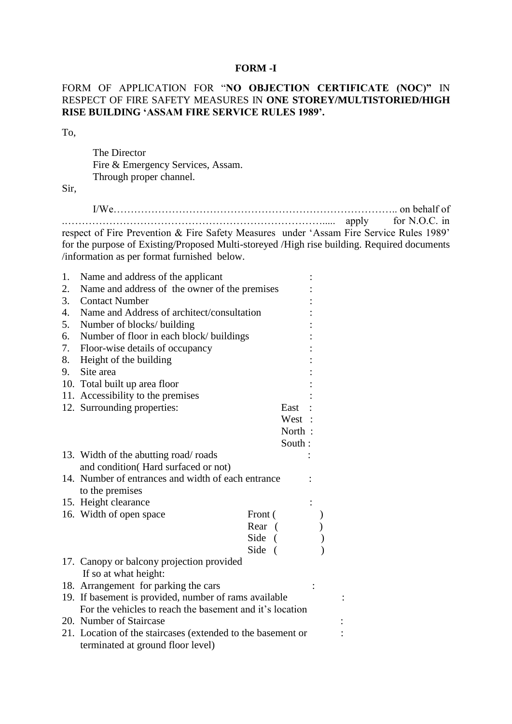### **FORM -I**

## FORM OF APPLICATION FOR "**NO OBJECTION CERTIFICATE (NOC)"** IN RESPECT OF FIRE SAFETY MEASURES IN **ONE STOREY/MULTISTORIED/HIGH RISE BUILDING 'ASSAM FIRE SERVICE RULES 1989'.**

To,

The Director Fire & Emergency Services, Assam. Through proper channel.

Sir,

I/We……………………………………………………………………….. on behalf of .…………………………………………………………………..... apply for N.O.C. in respect of Fire Prevention & Fire Safety Measures under 'Assam Fire Service Rules 1989'

for the purpose of Existing/Proposed Multi-storeyed /High rise building. Required documents /information as per format furnished below.

| 1. | Name and address of the applicant                           |         |        |  |  |
|----|-------------------------------------------------------------|---------|--------|--|--|
| 2. | Name and address of the owner of the premises               |         |        |  |  |
| 3. | <b>Contact Number</b>                                       |         |        |  |  |
|    | 4. Name and Address of architect/consultation               |         |        |  |  |
|    | 5. Number of blocks/ building                               |         |        |  |  |
| 6. | Number of floor in each block/buildings                     |         |        |  |  |
| 7. | Floor-wise details of occupancy                             |         |        |  |  |
| 8. | Height of the building                                      |         |        |  |  |
|    | 9. Site area                                                |         |        |  |  |
|    | 10. Total built up area floor                               |         |        |  |  |
|    | 11. Accessibility to the premises                           |         |        |  |  |
|    | 12. Surrounding properties:                                 |         | East   |  |  |
|    |                                                             |         | West   |  |  |
|    |                                                             |         | North: |  |  |
|    |                                                             |         | South: |  |  |
|    | 13. Width of the abutting road/roads                        |         |        |  |  |
|    | and condition(Hard surfaced or not)                         |         |        |  |  |
|    | 14. Number of entrances and width of each entrance          |         |        |  |  |
|    | to the premises                                             |         |        |  |  |
|    | 15. Height clearance                                        |         |        |  |  |
|    | 16. Width of open space                                     | Front ( |        |  |  |
|    |                                                             | Rear (  |        |  |  |
|    |                                                             | Side (  |        |  |  |
|    |                                                             | Side (  |        |  |  |
|    | 17. Canopy or balcony projection provided                   |         |        |  |  |
|    | If so at what height:                                       |         |        |  |  |
|    | 18. Arrangement for parking the cars                        |         |        |  |  |
|    | 19. If basement is provided, number of rams available       |         |        |  |  |
|    | For the vehicles to reach the basement and it's location    |         |        |  |  |
|    | 20. Number of Staircase                                     |         |        |  |  |
|    | 21. Location of the staircases (extended to the basement or |         |        |  |  |
|    | terminated at ground floor level)                           |         |        |  |  |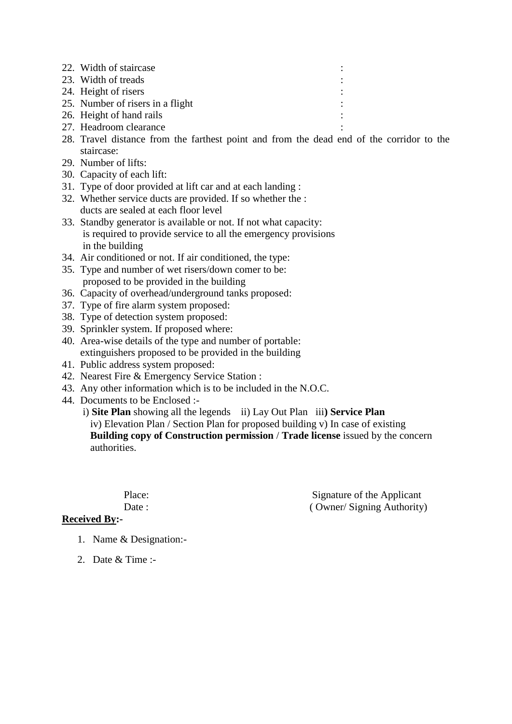- 22. Width of staircase :
- 23. Width of treads
- 24. Height of risers
- 25. Number of risers in a flight
- 26. Height of hand rails
- 27. Headroom clearance
- 28. Travel distance from the farthest point and from the dead end of the corridor to the staircase:
- 29. Number of lifts:
- 30. Capacity of each lift:
- 31. Type of door provided at lift car and at each landing :
- 32. Whether service ducts are provided. If so whether the : ducts are sealed at each floor level
- 33. Standby generator is available or not. If not what capacity: is required to provide service to all the emergency provisions in the building
- 34. Air conditioned or not. If air conditioned, the type:
- 35. Type and number of wet risers/down comer to be: proposed to be provided in the building
- 36. Capacity of overhead/underground tanks proposed:
- 37. Type of fire alarm system proposed:
- 38. Type of detection system proposed:
- 39. Sprinkler system. If proposed where:
- 40. Area-wise details of the type and number of portable: extinguishers proposed to be provided in the building
- 41. Public address system proposed:
- 42. Nearest Fire & Emergency Service Station :
- 43. Any other information which is to be included in the N.O.C.
- 44. Documents to be Enclosed :-

i) **Site Plan** showing all the legends ii) Lay Out Plan iii**) Service Plan** 

 iv) Elevation Plan / Section Plan for proposed building v) In case of existing **Building copy of Construction permission** / **Trade license** issued by the concern authorities.

Place: Signature of the Applicant Date : ( Owner/ Signing Authority)

- **Received By:-**
	- 1. Name & Designation:-
	- 2. Date & Time :-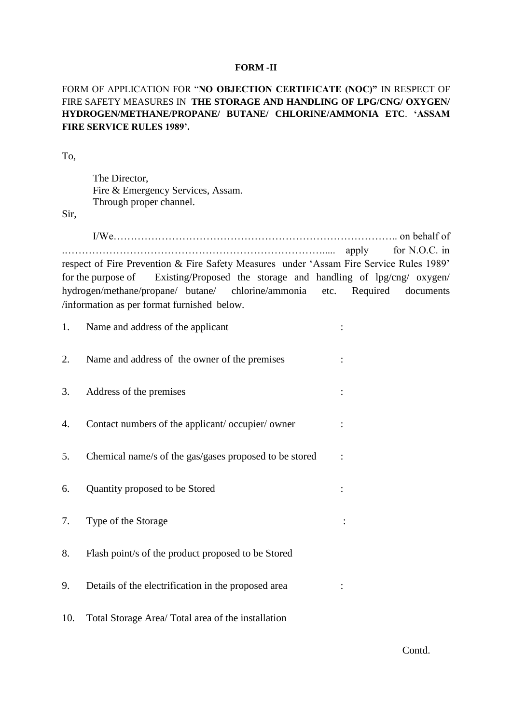#### **FORM -II**

## FORM OF APPLICATION FOR "**NO OBJECTION CERTIFICATE (NOC)"** IN RESPECT OF FIRE SAFETY MEASURES IN **THE STORAGE AND HANDLING OF LPG/CNG/ OXYGEN/ HYDROGEN/METHANE/PROPANE/ BUTANE/ CHLORINE/AMMONIA ETC**. **'ASSAM FIRE SERVICE RULES 1989'.**

To,

The Director, Fire & Emergency Services, Assam. Through proper channel.

Sir,

I/We……………………………………………………………………….. on behalf of .…………………………………………………………………..... apply for N.O.C. in respect of Fire Prevention & Fire Safety Measures under 'Assam Fire Service Rules 1989' for the purpose of Existing/Proposed the storage and handling of lpg/cng/ oxygen/ hydrogen/methane/propane/ butane/ chlorine/ammonia etc. Required documents /information as per format furnished below.

| 1.  | Name and address of the applicant                      |  |
|-----|--------------------------------------------------------|--|
| 2.  | Name and address of the owner of the premises          |  |
| 3.  | Address of the premises                                |  |
| 4.  | Contact numbers of the applicant/occupier/owner        |  |
| 5.  | Chemical name/s of the gas/gases proposed to be stored |  |
| 6.  | Quantity proposed to be Stored                         |  |
| 7.  | Type of the Storage                                    |  |
| 8.  | Flash point/s of the product proposed to be Stored     |  |
| 9.  | Details of the electrification in the proposed area    |  |
| 10. | Total Storage Area/ Total area of the installation     |  |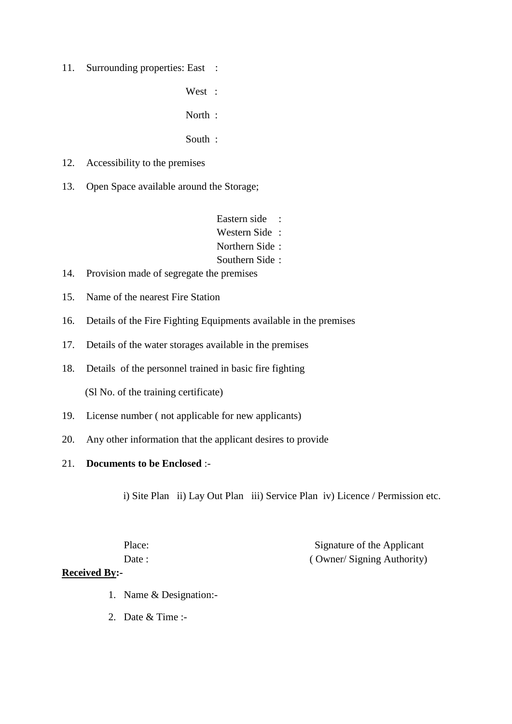- 11. Surrounding properties: East :
	- West :

North :

- South :
- 12. Accessibility to the premises
- 13. Open Space available around the Storage;
	- Eastern side : Western Side : Northern Side : Southern Side :
- 14. Provision made of segregate the premises
- 15. Name of the nearest Fire Station
- 16. Details of the Fire Fighting Equipments available in the premises
- 17. Details of the water storages available in the premises
- 18. Details of the personnel trained in basic fire fighting

(Sl No. of the training certificate)

- 19. License number ( not applicable for new applicants)
- 20. Any other information that the applicant desires to provide

### 21. **Documents to be Enclosed** :-

i) Site Plan ii) Lay Out Plan iii) Service Plan iv) Licence / Permission etc.

Place: Signature of the Applicant Date : ( Owner/ Signing Authority)

## **Received By:-**

- 1. Name & Designation:-
- 2. Date & Time :-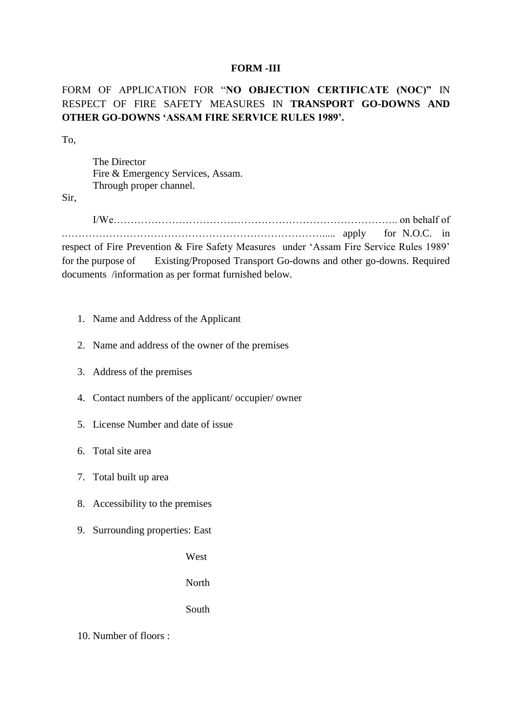### **FORM** *-***III**

# FORM OF APPLICATION FOR "**NO OBJECTION CERTIFICATE (NOC)"** IN RESPECT OF FIRE SAFETY MEASURES IN **TRANSPORT GO-DOWNS AND OTHER GO-DOWNS 'ASSAM FIRE SERVICE RULES 1989'.**

To,

The Director Fire & Emergency Services, Assam. Through proper channel.

Sir,

I/We……………………………………………………………………….. on behalf of .…………………………………………………………………..... apply for N.O.C. in

respect of Fire Prevention & Fire Safety Measures under 'Assam Fire Service Rules 1989' for the purpose of Existing/Proposed Transport Go-downs and other go-downs. Required documents /information as per format furnished below.

- 1. Name and Address of the Applicant
- 2. Name and address of the owner of the premises
- 3. Address of the premises
- 4. Contact numbers of the applicant/ occupier/ owner
- 5. License Number and date of issue
- 6. Total site area
- 7. Total built up area
- 8. Accessibility to the premises
- 9. Surrounding properties: East

West

North

### South

10. Number of floors :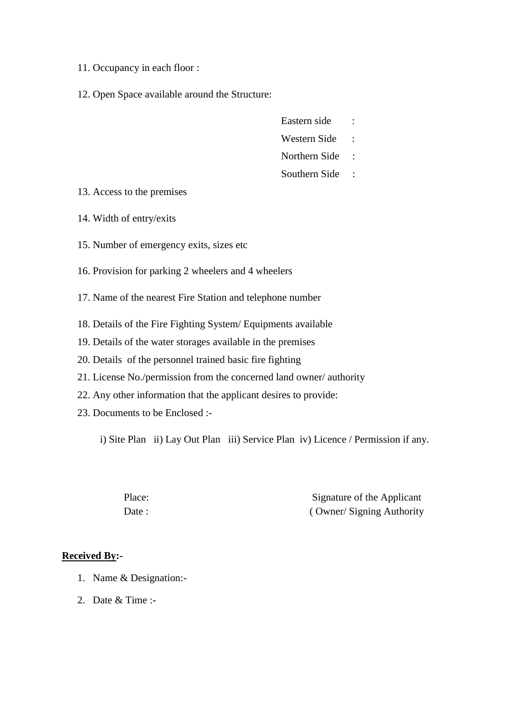- 11. Occupancy in each floor :
- 12. Open Space available around the Structure:
- Eastern side :
- Western Side :
- Northern Side :
- Southern Side :

- 13. Access to the premises
- 14. Width of entry/exits
- 15. Number of emergency exits, sizes etc
- 16. Provision for parking 2 wheelers and 4 wheelers
- 17. Name of the nearest Fire Station and telephone number
- 18. Details of the Fire Fighting System/ Equipments available
- 19. Details of the water storages available in the premises
- 20. Details of the personnel trained basic fire fighting
- 21. License No./permission from the concerned land owner/ authority
- 22. Any other information that the applicant desires to provide:
- 23. Documents to be Enclosed :-

i) Site Plan ii) Lay Out Plan iii) Service Plan iv) Licence / Permission if any.

Place: Signature of the Applicant Date : ( Owner/ Signing Authority

### **Received By:-**

- 1. Name & Designation:-
- 2. Date & Time :-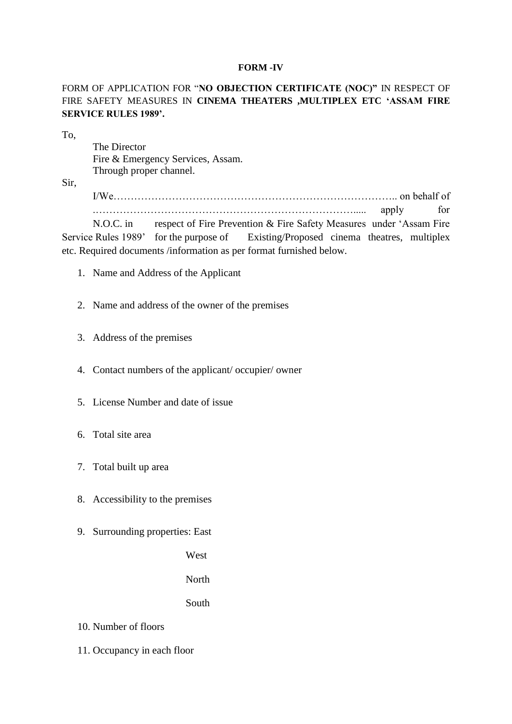### **FORM -IV**

FORM OF APPLICATION FOR "**NO OBJECTION CERTIFICATE (NOC)"** IN RESPECT OF FIRE SAFETY MEASURES IN **CINEMA THEATERS ,MULTIPLEX ETC 'ASSAM FIRE SERVICE RULES 1989'.**

To,

The Director Fire & Emergency Services, Assam. Through proper channel.

Sir,

I/We……………………………………………………………………….. on behalf of .…………………………………………………………………..... apply for N.O.C. in respect of Fire Prevention & Fire Safety Measures under 'Assam Fire Service Rules 1989' for the purpose of Existing/Proposed cinema theatres, multiplex

- 1. Name and Address of the Applicant
- 2. Name and address of the owner of the premises

etc. Required documents /information as per format furnished below.

- 3. Address of the premises
- 4. Contact numbers of the applicant/ occupier/ owner
- 5. License Number and date of issue
- 6. Total site area
- 7. Total built up area
- 8. Accessibility to the premises
- 9. Surrounding properties: East

West

North

South

- 10. Number of floors
- 11. Occupancy in each floor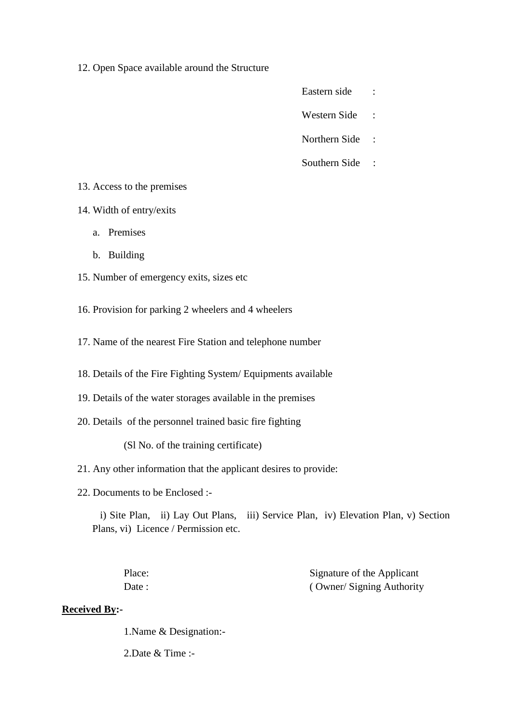- 12. Open Space available around the Structure
- Eastern side :
- Western Side :
- Northern Side :
- Southern Side :

- 13. Access to the premises
- 14. Width of entry/exits
	- a. Premises
	- b. Building
- 15. Number of emergency exits, sizes etc
- 16. Provision for parking 2 wheelers and 4 wheelers
- 17. Name of the nearest Fire Station and telephone number
- 18. Details of the Fire Fighting System/ Equipments available
- 19. Details of the water storages available in the premises
- 20. Details of the personnel trained basic fire fighting

(Sl No. of the training certificate)

- 21. Any other information that the applicant desires to provide:
- 22. Documents to be Enclosed :-

 i) Site Plan, ii) Lay Out Plans, iii) Service Plan, iv) Elevation Plan, v) Section Plans, vi) Licence / Permission etc.

Place: Signature of the Applicant Date : ( Owner/ Signing Authority

# **Received By:-**

1.Name & Designation:-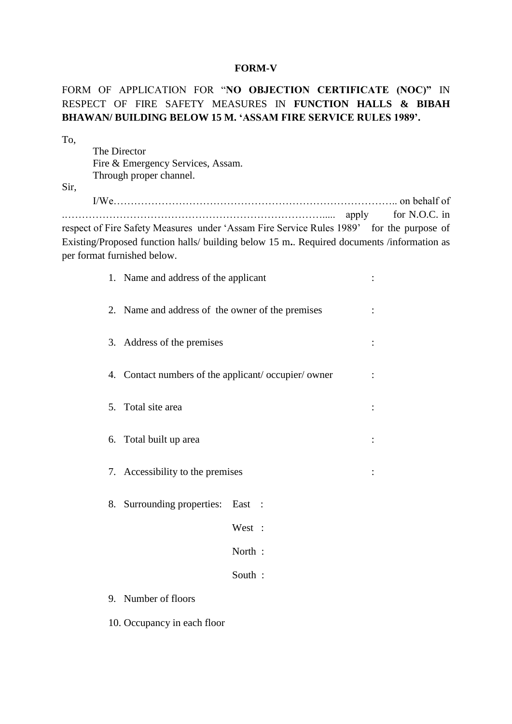### **FORM-V**

# FORM OF APPLICATION FOR "**NO OBJECTION CERTIFICATE (NOC)"** IN RESPECT OF FIRE SAFETY MEASURES IN **FUNCTION HALLS & BIBAH BHAWAN/ BUILDING BELOW 15 M. 'ASSAM FIRE SERVICE RULES 1989'.**

| To,  |                                                    |                                                                                           |               |
|------|----------------------------------------------------|-------------------------------------------------------------------------------------------|---------------|
|      | The Director                                       |                                                                                           |               |
|      | Fire & Emergency Services, Assam.                  |                                                                                           |               |
|      | Through proper channel.                            |                                                                                           |               |
| Sir, |                                                    |                                                                                           |               |
|      |                                                    |                                                                                           |               |
|      |                                                    |                                                                                           | for N.O.C. in |
|      |                                                    | respect of Fire Safety Measures under 'Assam Fire Service Rules 1989' for the purpose of  |               |
|      |                                                    | Existing/Proposed function halls/ building below 15 m. Required documents /information as |               |
|      | per format furnished below.                        |                                                                                           |               |
|      | 1. Name and address of the applicant               |                                                                                           |               |
|      |                                                    |                                                                                           |               |
|      | 2. Name and address of the owner of the premises   |                                                                                           |               |
|      |                                                    |                                                                                           |               |
|      |                                                    |                                                                                           |               |
|      | 3. Address of the premises                         |                                                                                           |               |
|      |                                                    |                                                                                           |               |
|      | 4. Contact numbers of the applicant/occupier/owner |                                                                                           |               |
|      |                                                    |                                                                                           |               |
|      | 5. Total site area                                 |                                                                                           |               |
|      |                                                    |                                                                                           |               |
|      | 6. Total built up area                             |                                                                                           |               |
|      |                                                    |                                                                                           |               |
|      |                                                    |                                                                                           |               |
|      | 7. Accessibility to the premises                   |                                                                                           |               |
|      |                                                    |                                                                                           |               |
|      | 8. Surrounding properties: East                    |                                                                                           |               |
|      |                                                    |                                                                                           |               |
|      |                                                    | West :                                                                                    |               |
|      |                                                    | North:                                                                                    |               |
|      |                                                    |                                                                                           |               |
|      |                                                    | South:                                                                                    |               |
|      | 9. Number of floors                                |                                                                                           |               |
|      |                                                    |                                                                                           |               |
|      | 10. Occupancy in each floor                        |                                                                                           |               |
|      |                                                    |                                                                                           |               |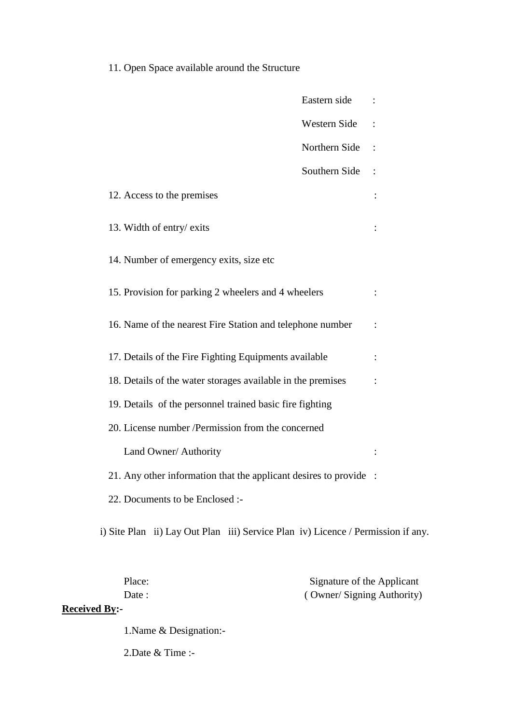11. Open Space available around the Structure

|                                                                   | Eastern side  |  |
|-------------------------------------------------------------------|---------------|--|
|                                                                   | Western Side  |  |
|                                                                   | Northern Side |  |
|                                                                   | Southern Side |  |
| 12. Access to the premises                                        |               |  |
| 13. Width of entry/ exits                                         |               |  |
| 14. Number of emergency exits, size etc                           |               |  |
| 15. Provision for parking 2 wheelers and 4 wheelers               |               |  |
| 16. Name of the nearest Fire Station and telephone number         |               |  |
| 17. Details of the Fire Fighting Equipments available             |               |  |
| 18. Details of the water storages available in the premises       |               |  |
| 19. Details of the personnel trained basic fire fighting          |               |  |
| 20. License number /Permission from the concerned                 |               |  |
| Land Owner/ Authority                                             |               |  |
| 21. Any other information that the applicant desires to provide : |               |  |
| 22. Documents to be Enclosed :-                                   |               |  |

i) Site Plan ii) Lay Out Plan iii) Service Plan iv) Licence / Permission if any.

| Place:               | Signature of the Applicant |
|----------------------|----------------------------|
| Date :               | (Owner/Signing Authority)  |
| <b>Received By:-</b> |                            |

1.Name & Designation:-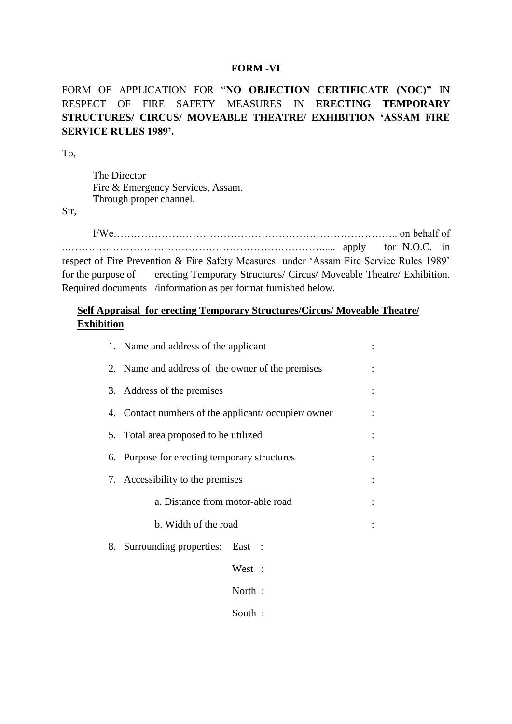### **FORM -VI**

FORM OF APPLICATION FOR "**NO OBJECTION CERTIFICATE (NOC)"** IN RESPECT OF FIRE SAFETY MEASURES IN **ERECTING TEMPORARY STRUCTURES/ CIRCUS/ MOVEABLE THEATRE/ EXHIBITION 'ASSAM FIRE SERVICE RULES 1989'.**

To,

The Director Fire & Emergency Services, Assam. Through proper channel.

Sir,

I/We……………………………………………………………………….. on behalf of .…………………………………………………………………..... apply for N.O.C. in respect of Fire Prevention & Fire Safety Measures under 'Assam Fire Service Rules 1989' for the purpose of erecting Temporary Structures/ Circus/ Moveable Theatre/ Exhibition. Required documents /information as per format furnished below.

## **Self Appraisal for erecting Temporary Structures/Circus/ Moveable Theatre/ Exhibition**

| 1. Name and address of the applicant               |        |  |
|----------------------------------------------------|--------|--|
| 2. Name and address of the owner of the premises   |        |  |
| 3. Address of the premises                         |        |  |
| 4. Contact numbers of the applicant/occupier/owner |        |  |
| 5. Total area proposed to be utilized              |        |  |
| 6. Purpose for erecting temporary structures       |        |  |
| 7. Accessibility to the premises                   |        |  |
| a. Distance from motor-able road                   |        |  |
| b. Width of the road                               |        |  |
| 8. Surrounding properties: East :                  |        |  |
|                                                    | West : |  |
|                                                    | North: |  |
|                                                    | South: |  |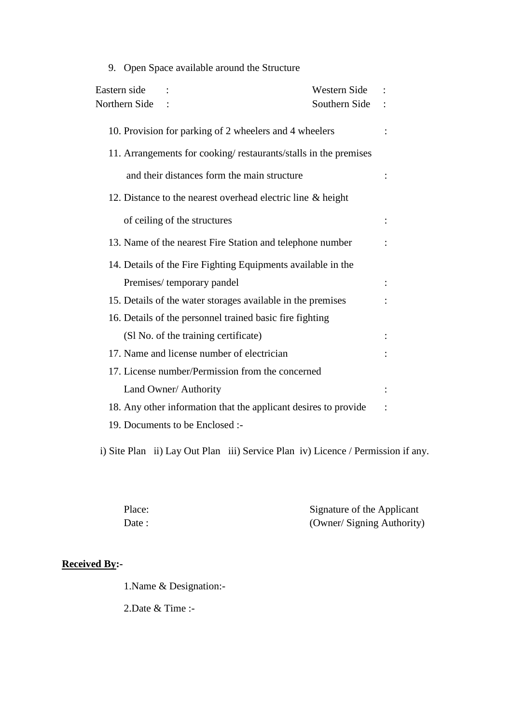| 9. Open Space available around the Structure                    |  |
|-----------------------------------------------------------------|--|
| Eastern side<br>Western Side                                    |  |
| Northern Side<br>Southern Side                                  |  |
| 10. Provision for parking of 2 wheelers and 4 wheelers          |  |
| 11. Arrangements for cooking/restaurants/stalls in the premises |  |
| and their distances form the main structure                     |  |
| 12. Distance to the nearest overhead electric line & height     |  |
| of ceiling of the structures                                    |  |
| 13. Name of the nearest Fire Station and telephone number       |  |
| 14. Details of the Fire Fighting Equipments available in the    |  |
| Premises/temporary pandel                                       |  |
| 15. Details of the water storages available in the premises     |  |
| 16. Details of the personnel trained basic fire fighting        |  |
| (Sl No. of the training certificate)                            |  |
| 17. Name and license number of electrician                      |  |
| 17. License number/Permission from the concerned                |  |
| Land Owner/ Authority                                           |  |
| 18. Any other information that the applicant desires to provide |  |
| 19. Documents to be Enclosed :-                                 |  |

i) Site Plan ii) Lay Out Plan iii) Service Plan iv) Licence / Permission if any.

| Place: | Signature of the Applicant |
|--------|----------------------------|
| Date : | (Owner/ Signing Authority) |

# **Received By:-**

1.Name & Designation:-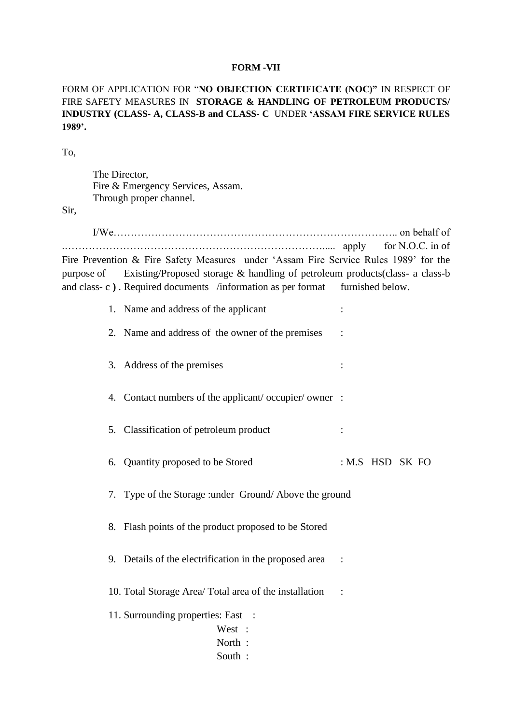#### **FORM -VII**

FORM OF APPLICATION FOR "**NO OBJECTION CERTIFICATE (NOC)"** IN RESPECT OF FIRE SAFETY MEASURES IN **STORAGE & HANDLING OF PETROLEUM PRODUCTS/ INDUSTRY (CLASS- A, CLASS-B and CLASS- C** UNDER **'ASSAM FIRE SERVICE RULES 1989'.**

To,

The Director, Fire & Emergency Services, Assam. Through proper channel.

Sir,

I/We……………………………………………………………………….. on behalf of .…………………………………………………………………..... apply for N.O.C. in of Fire Prevention & Fire Safety Measures under 'Assam Fire Service Rules 1989' for the purpose of Existing/Proposed storage & handling of petroleum products(class- a class-b and class- c ). Required documents /information as per format furnished below.

1. Name and address of the applicant :

2. Name and address of the owner of the premises :

- 3. Address of the premises :
- 4. Contact numbers of the applicant/ occupier/ owner :
- 5. Classification of petroleum product :
- 6. Quantity proposed to be Stored : M.S HSD SK FO
- 7. Type of the Storage :under Ground/ Above the ground
- 8. Flash points of the product proposed to be Stored
- 9. Details of the electrification in the proposed area :

10. Total Storage Area/ Total area of the installation :

- 11. Surrounding properties: East :
	- West :
		- North :
		- South :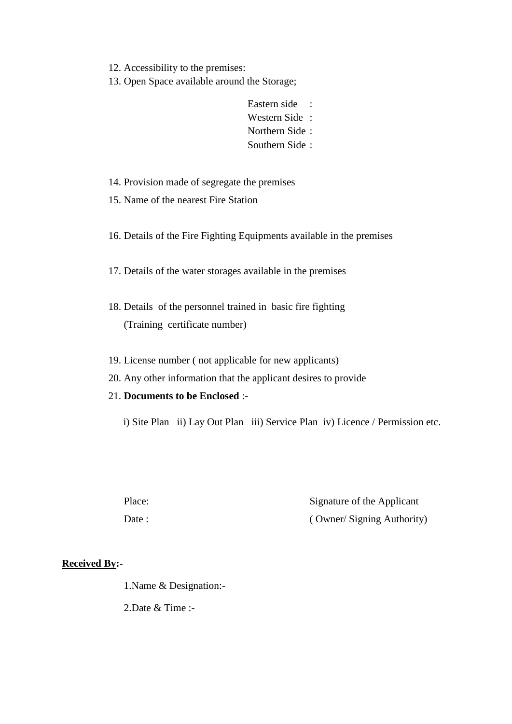12. Accessibility to the premises:

13. Open Space available around the Storage;

Eastern side : Western Side : Northern Side : Southern Side :

14. Provision made of segregate the premises

15. Name of the nearest Fire Station

16. Details of the Fire Fighting Equipments available in the premises

17. Details of the water storages available in the premises

- 18. Details of the personnel trained in basic fire fighting (Training certificate number)
- 19. License number ( not applicable for new applicants)
- 20. Any other information that the applicant desires to provide
- 21. **Documents to be Enclosed** :-

i) Site Plan ii) Lay Out Plan iii) Service Plan iv) Licence / Permission etc.

Place: Signature of the Applicant Date : ( Owner/ Signing Authority )

## **Received By:-**

1.Name & Designation:-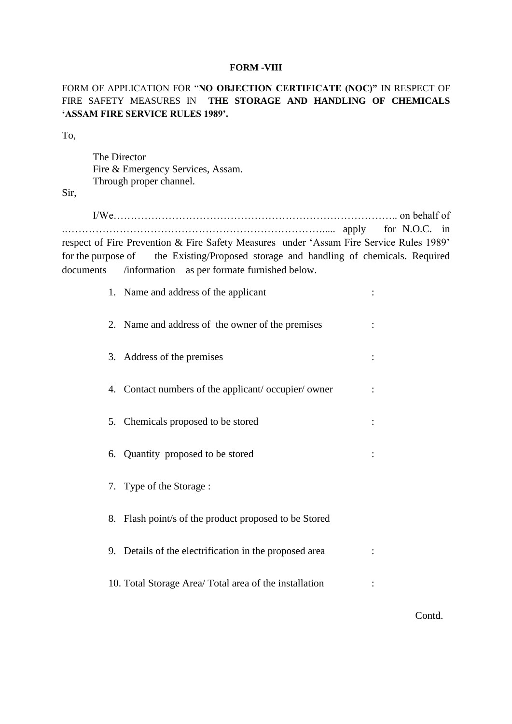#### **FORM -VIII**

## FORM OF APPLICATION FOR "**NO OBJECTION CERTIFICATE (NOC)"** IN RESPECT OF FIRE SAFETY MEASURES IN **THE STORAGE AND HANDLING OF CHEMICALS 'ASSAM FIRE SERVICE RULES 1989'.**

To,

The Director Fire & Emergency Services, Assam. Through proper channel.

Sir,

I/We……………………………………………………………………….. on behalf of .…………………………………………………………………..... apply for N.O.C. in respect of Fire Prevention & Fire Safety Measures under 'Assam Fire Service Rules 1989' for the purpose of the Existing/Proposed storage and handling of chemicals. Required documents /information as per formate furnished below.

| 1. Name and address of the applicant                   |  |
|--------------------------------------------------------|--|
| 2. Name and address of the owner of the premises       |  |
| 3. Address of the premises                             |  |
| 4. Contact numbers of the applicant/occupier/owner     |  |
| 5. Chemicals proposed to be stored                     |  |
| 6. Quantity proposed to be stored                      |  |
| 7. Type of the Storage:                                |  |
| 8. Flash point/s of the product proposed to be Stored  |  |
| 9. Details of the electrification in the proposed area |  |
| 10. Total Storage Area/ Total area of the installation |  |

Contd.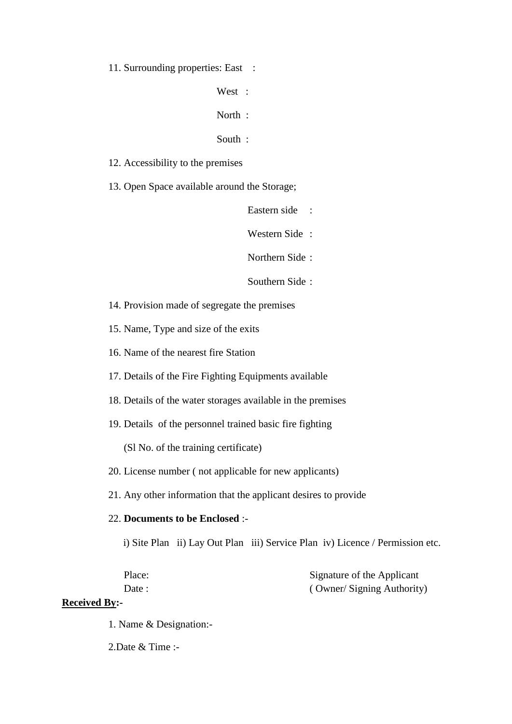11. Surrounding properties: East :

West :

North :

South :

12. Accessibility to the premises

13. Open Space available around the Storage;

Eastern side :

Western Side :

Northern Side :

Southern Side :

14. Provision made of segregate the premises

15. Name, Type and size of the exits

16. Name of the nearest fire Station

17. Details of the Fire Fighting Equipments available

18. Details of the water storages available in the premises

19. Details of the personnel trained basic fire fighting

(Sl No. of the training certificate)

### 20. License number ( not applicable for new applicants)

21. Any other information that the applicant desires to provide

### 22. **Documents to be Enclosed** :-

i) Site Plan ii) Lay Out Plan iii) Service Plan iv) Licence / Permission etc.

| Place: | Signature of the Applicant |
|--------|----------------------------|
| Date : | (Owner/Signing Authority)  |

### **Received By:-**

1. Name & Designation:-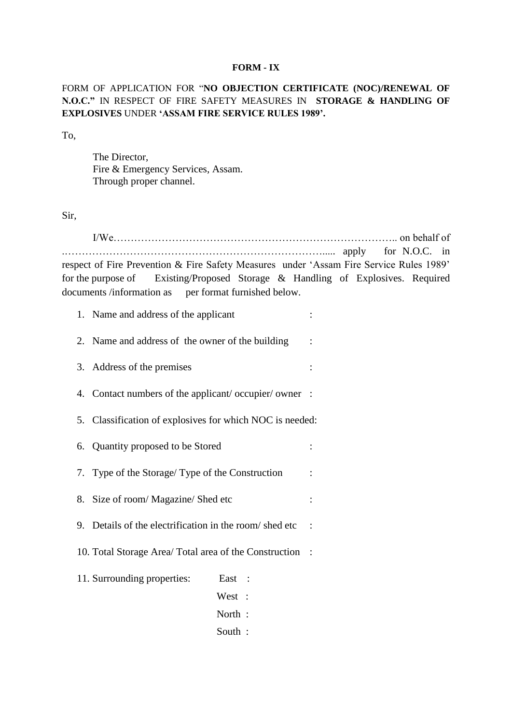#### **FORM - IX**

FORM OF APPLICATION FOR "**NO OBJECTION CERTIFICATE (NOC)/RENEWAL OF N.O.C."** IN RESPECT OF FIRE SAFETY MEASURES IN **STORAGE & HANDLING OF EXPLOSIVES** UNDER **'ASSAM FIRE SERVICE RULES 1989'.**

To,

The Director, Fire & Emergency Services, Assam. Through proper channel.

Sir,

I/We……………………………………………………………………….. on behalf of .…………………………………………………………………..... apply for N.O.C. in respect of Fire Prevention & Fire Safety Measures under 'Assam Fire Service Rules 1989' for the purpose of Existing/Proposed Storage & Handling of Explosives. Required documents /information as per format furnished below.

1. Name and address of the applicant :

- 2. Name and address of the owner of the building :
- 3. Address of the premises :
- 4. Contact numbers of the applicant/ occupier/ owner :
- 5. Classification of explosives for which NOC is needed:
- 6. Quantity proposed to be Stored :
- 7. Type of the Storage/ Type of the Construction :
- 8. Size of room/ Magazine/ Shed etc :
- 9. Details of the electrification in the room/ shed etc :
- 10. Total Storage Area/ Total area of the Construction :
- 11. Surrounding properties: East :
	- West :
	- North :
	- South :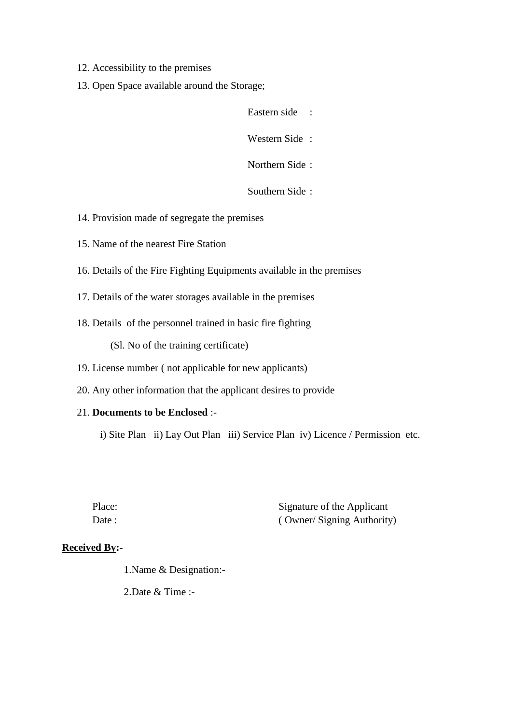- 12. Accessibility to the premises
- 13. Open Space available around the Storage;

Eastern side :

Western Side :

Northern Side :

Southern Side :

- 14. Provision made of segregate the premises
- 15. Name of the nearest Fire Station
- 16. Details of the Fire Fighting Equipments available in the premises
- 17. Details of the water storages available in the premises
- 18. Details of the personnel trained in basic fire fighting

(Sl. No of the training certificate)

- 19. License number ( not applicable for new applicants)
- 20. Any other information that the applicant desires to provide

# 21. **Documents to be Enclosed** :-

i) Site Plan ii) Lay Out Plan iii) Service Plan iv) Licence / Permission etc.

Place: Signature of the Applicant Date : ( Owner/ Signing Authority)

# **Received By:-**

1.Name & Designation:-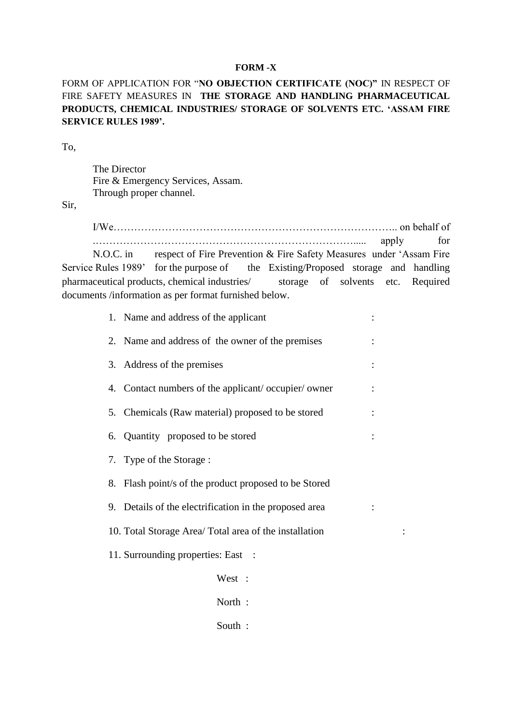### **FORM -X**

FORM OF APPLICATION FOR "**NO OBJECTION CERTIFICATE (NOC)"** IN RESPECT OF FIRE SAFETY MEASURES IN **THE STORAGE AND HANDLING PHARMACEUTICAL PRODUCTS, CHEMICAL INDUSTRIES/ STORAGE OF SOLVENTS ETC. 'ASSAM FIRE SERVICE RULES 1989'.**

To,

The Director Fire & Emergency Services, Assam. Through proper channel.

Sir,

I/We……………………………………………………………………….. on behalf of .…………………………………………………………………..... apply for N.O.C. in respect of Fire Prevention & Fire Safety Measures under 'Assam Fire Service Rules 1989' for the purpose of the Existing/Proposed storage and handling

pharmaceutical products, chemical industries/ storage of solvents etc. Required documents /information as per format furnished below.

| 1. Name and address of the applicant                   |  |
|--------------------------------------------------------|--|
| 2. Name and address of the owner of the premises       |  |
| 3. Address of the premises                             |  |
| 4. Contact numbers of the applicant/occupier/owner     |  |
| 5. Chemicals (Raw material) proposed to be stored      |  |
| 6. Quantity proposed to be stored                      |  |
| 7. Type of the Storage:                                |  |
| 8. Flash point/s of the product proposed to be Stored  |  |
| 9. Details of the electrification in the proposed area |  |
| 10. Total Storage Area/Total area of the installation  |  |
| 11. Surrounding properties: East :                     |  |
| West :                                                 |  |
| North:                                                 |  |
| South:                                                 |  |